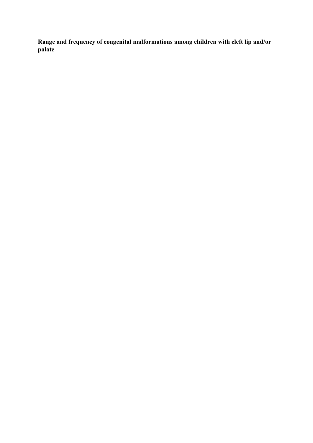**Range and frequency of congenital malformations among children with cleft lip and/or palate**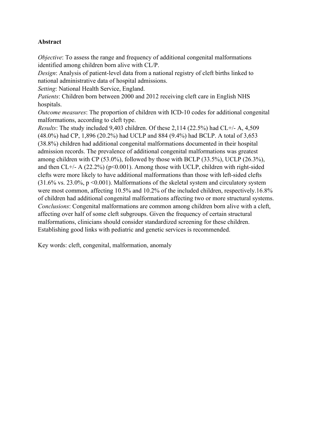# **Abstract**

*Objective*: To assess the range and frequency of additional congenital malformations identified among children born alive with CL/P.

*Design*: Analysis of patient-level data from a national registry of cleft births linked to national administrative data of hospital admissions.

*Setting*: National Health Service, England.

*Patients*: Children born between 2000 and 2012 receiving cleft care in English NHS hospitals.

*Outcome measures*: The proportion of children with ICD-10 codes for additional congenital malformations, according to cleft type.

*Results*: The study included 9,403 children. Of these 2,114 (22.5%) had CL+/- A, 4,509 (48.0%) had CP, 1,896 (20.2%) had UCLP and 884 (9.4%) had BCLP. A total of 3,653 (38.8%) children had additional congenital malformations documented in their hospital admission records. The prevalence of additional congenital malformations was greatest among children with CP (53.0%), followed by those with BCLP (33.5%), UCLP (26.3%), and then  $CL+/A$  (22.2%) ( $p<0.001$ ). Among those with UCLP, children with right-sided clefts were more likely to have additional malformations than those with left-sided clefts  $(31.6\% \text{ vs. } 23.0\% \text{, } p \le 0.001)$ . Malformations of the skeletal system and circulatory system were most common, affecting 10.5% and 10.2% of the included children, respectively.16.8% of children had additional congenital malformations affecting two or more structural systems. *Conclusions*: Congenital malformations are common among children born alive with a cleft, affecting over half of some cleft subgroups. Given the frequency of certain structural malformations, clinicians should consider standardized screening for these children. Establishing good links with pediatric and genetic services is recommended.

Key words: cleft, congenital, malformation, anomaly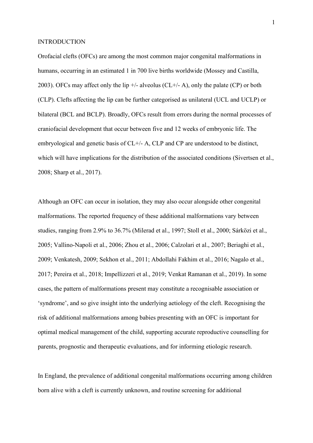#### INTRODUCTION

Orofacial clefts (OFCs) are among the most common major congenital malformations in humans, occurring in an estimated 1 in 700 live births worldwide (Mossey and Castilla, 2003). OFCs may affect only the lip  $+/-$  alveolus (CL $+/-$  A), only the palate (CP) or both (CLP). Clefts affecting the lip can be further categorised as unilateral (UCL and UCLP) or bilateral (BCL and BCLP). Broadly, OFCs result from errors during the normal processes of craniofacial development that occur between five and 12 weeks of embryonic life. The embryological and genetic basis of CL+/- A, CLP and CP are understood to be distinct, which will have implications for the distribution of the associated conditions (Sivertsen et al., 2008; Sharp et al., 2017).

Although an OFC can occur in isolation, they may also occur alongside other congenital malformations. The reported frequency of these additional malformations vary between studies, ranging from 2.9% to 36.7% (Milerad et al., 1997; Stoll et al., 2000; Sárközi et al., 2005; Vallino-Napoli et al., 2006; Zhou et al., 2006; Calzolari et al., 2007; Beriaghi et al., 2009; Venkatesh, 2009; Sekhon et al., 2011; Abdollahi Fakhim et al., 2016; Nagalo et al., 2017; Pereira et al., 2018; Impellizzeri et al., 2019; Venkat Ramanan et al., 2019). In some cases, the pattern of malformations present may constitute a recognisable association or 'syndrome', and so give insight into the underlying aetiology of the cleft. Recognising the risk of additional malformations among babies presenting with an OFC is important for optimal medical management of the child, supporting accurate reproductive counselling for parents, prognostic and therapeutic evaluations, and for informing etiologic research.

In England, the prevalence of additional congenital malformations occurring among children born alive with a cleft is currently unknown, and routine screening for additional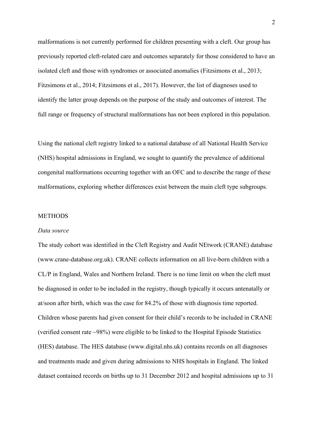malformations is not currently performed for children presenting with a cleft. Our group has previously reported cleft-related care and outcomes separately for those considered to have an isolated cleft and those with syndromes or associated anomalies (Fitzsimons et al., 2013; Fitzsimons et al., 2014; Fitzsimons et al., 2017). However, the list of diagnoses used to identify the latter group depends on the purpose of the study and outcomes of interest. The full range or frequency of structural malformations has not been explored in this population.

Using the national cleft registry linked to a national database of all National Health Service (NHS) hospital admissions in England, we sought to quantify the prevalence of additional congenital malformations occurring together with an OFC and to describe the range of these malformations, exploring whether differences exist between the main cleft type subgroups.

# **METHODS**

#### *Data source*

The study cohort was identified in the Cleft Registry and Audit NEtwork (CRANE) database (www.crane-database.org.uk). CRANE collects information on all live-born children with a CL/P in England, Wales and Northern Ireland. There is no time limit on when the cleft must be diagnosed in order to be included in the registry, though typically it occurs antenatally or at/soon after birth, which was the case for 84.2% of those with diagnosis time reported. Children whose parents had given consent for their child's records to be included in CRANE (verified consent rate ~98%) were eligible to be linked to the Hospital Episode Statistics (HES) database. The HES database (www.digital.nhs.uk) contains records on all diagnoses and treatments made and given during admissions to NHS hospitals in England. The linked dataset contained records on births up to 31 December 2012 and hospital admissions up to 31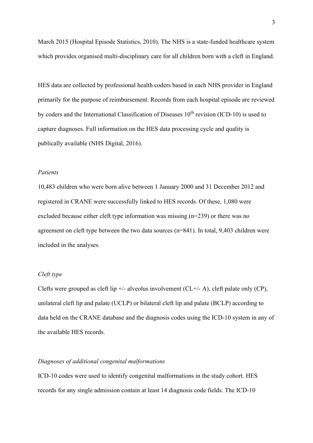March 2015 (Hospital Episode Statistics, 2010). The NHS is a state-funded healthcare system which provides organised multi-disciplinary care for all children born with a cleft in England.

HES data are collected by professional health coders based in each NHS provider in England primarily for the purpose of reimbursement. Records from each hospital episode are reviewed by coders and the International Classification of Diseases  $10<sup>th</sup>$  revision (ICD-10) is used to capture diagnoses. Full information on the HES data processing cycle and quality is publically available (NHS Digital, 2016).

### *Patients*

10,483 children who were born alive between 1 January 2000 and 31 December 2012 and registered in CRANE were successfully linked to HES records. Of these, 1,080 were excluded because either cleft type information was missing (n=239) or there was no agreement on cleft type between the two data sources (n=841). In total, 9,403 children were included in the analyses.

# *Cleft type*

Clefts were grouped as cleft lip  $\pm$ /- alveolus involvement (CL $\pm$ /- A), cleft palate only (CP), unilateral cleft lip and palate (UCLP) or bilateral cleft lip and palate (BCLP) according to data held on the CRANE database and the diagnosis codes using the ICD-10 system in any of the available HES records.

# *Diagnoses of additional congenital malformations*

ICD-10 codes were used to identify congenital malformations in the study cohort. HES records for any single admission contain at least 14 diagnosis code fields. The ICD-10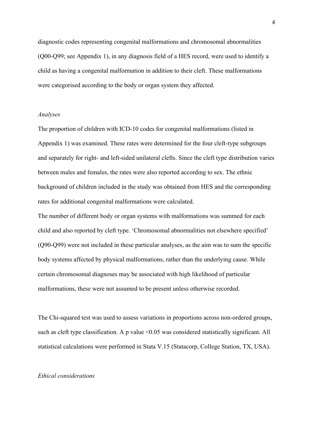diagnostic codes representing congenital malformations and chromosomal abnormalities (Q00-Q99; see Appendix 1), in any diagnosis field of a HES record, were used to identify a child as having a congenital malformation in addition to their cleft. These malformations were categorised according to the body or organ system they affected.

### *Analyses*

The proportion of children with ICD-10 codes for congenital malformations (listed in Appendix 1) was examined. These rates were determined for the four cleft-type subgroups and separately for right- and left-sided unilateral clefts. Since the cleft type distribution varies between males and females, the rates were also reported according to sex. The ethnic background of children included in the study was obtained from HES and the corresponding rates for additional congenital malformations were calculated.

The number of different body or organ systems with malformations was summed for each child and also reported by cleft type. 'Chromosomal abnormalities not elsewhere specified' (Q90-Q99) were not included in these particular analyses, as the aim was to sum the specific body systems affected by physical malformations, rather than the underlying cause. While certain chromosomal diagnoses may be associated with high likelihood of particular malformations, these were not assumed to be present unless otherwise recorded.

The Chi-squared test was used to assess variations in proportions across non-ordered groups, such as cleft type classification. A p value  $\leq 0.05$  was considered statistically significant. All statistical calculations were performed in Stata V.15 (Statacorp, College Station, TX, USA).

### *Ethical considerations*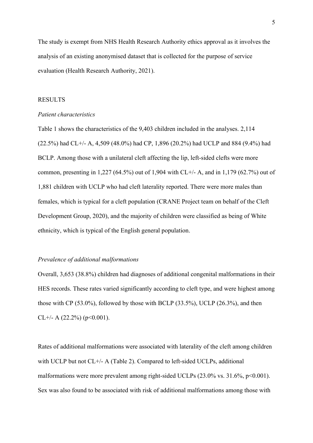The study is exempt from NHS Health Research Authority ethics approval as it involves the analysis of an existing anonymised dataset that is collected for the purpose of service evaluation (Health Research Authority, 2021).

### RESULTS

### *Patient characteristics*

Table 1 shows the characteristics of the 9,403 children included in the analyses. 2,114 (22.5%) had CL+/- A, 4,509 (48.0%) had CP, 1,896 (20.2%) had UCLP and 884 (9.4%) had BCLP. Among those with a unilateral cleft affecting the lip, left-sided clefts were more common, presenting in 1,227 (64.5%) out of 1,904 with CL+/- A, and in 1,179 (62.7%) out of 1,881 children with UCLP who had cleft laterality reported. There were more males than females, which is typical for a cleft population (CRANE Project team on behalf of the Cleft Development Group, 2020), and the majority of children were classified as being of White ethnicity, which is typical of the English general population.

#### *Prevalence of additional malformations*

Overall, 3,653 (38.8%) children had diagnoses of additional congenital malformations in their HES records. These rates varied significantly according to cleft type, and were highest among those with CP (53.0%), followed by those with BCLP (33.5%), UCLP (26.3%), and then CL+/- A  $(22.2\%)$  (p<0.001).

Rates of additional malformations were associated with laterality of the cleft among children with UCLP but not CL+/- A (Table 2). Compared to left-sided UCLPs, additional malformations were more prevalent among right-sided UCLPs  $(23.0\% \text{ vs. } 31.6\%, \text{ p} < 0.001)$ . Sex was also found to be associated with risk of additional malformations among those with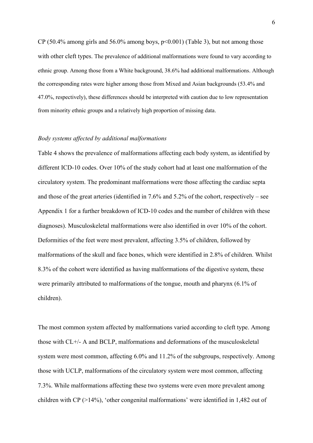CP (50.4% among girls and 56.0% among boys,  $p<0.001$ ) (Table 3), but not among those with other cleft types. The prevalence of additional malformations were found to vary according to ethnic group. Among those from a White background, 38.6% had additional malformations. Although the corresponding rates were higher among those from Mixed and Asian backgrounds (53.4% and 47.0%, respectively), these differences should be interpreted with caution due to low representation from minority ethnic groups and a relatively high proportion of missing data.

#### *Body systems affected by additional malformations*

Table 4 shows the prevalence of malformations affecting each body system, as identified by different ICD-10 codes. Over 10% of the study cohort had at least one malformation of the circulatory system. The predominant malformations were those affecting the cardiac septa and those of the great arteries (identified in 7.6% and 5.2% of the cohort, respectively – see Appendix 1 for a further breakdown of ICD-10 codes and the number of children with these diagnoses). Musculoskeletal malformations were also identified in over 10% of the cohort. Deformities of the feet were most prevalent, affecting 3.5% of children, followed by malformations of the skull and face bones, which were identified in 2.8% of children. Whilst 8.3% of the cohort were identified as having malformations of the digestive system, these were primarily attributed to malformations of the tongue, mouth and pharynx (6.1% of children).

The most common system affected by malformations varied according to cleft type. Among those with CL+/- A and BCLP, malformations and deformations of the musculoskeletal system were most common, affecting 6.0% and 11.2% of the subgroups, respectively. Among those with UCLP, malformations of the circulatory system were most common, affecting 7.3%. While malformations affecting these two systems were even more prevalent among children with CP  $(>14%)$ , 'other congenital malformations' were identified in 1,482 out of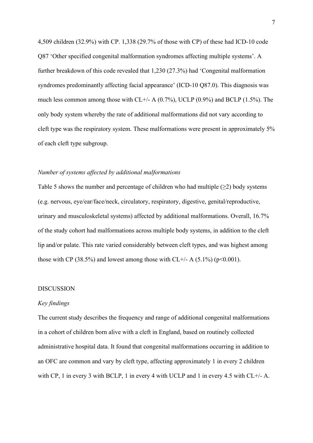4,509 children (32.9%) with CP. 1,338 (29.7% of those with CP) of these had ICD-10 code Q87 'Other specified congenital malformation syndromes affecting multiple systems'. A further breakdown of this code revealed that 1,230 (27.3%) had 'Congenital malformation syndromes predominantly affecting facial appearance' (ICD-10 Q87.0). This diagnosis was much less common among those with CL+/- A (0.7%), UCLP (0.9%) and BCLP (1.5%). The only body system whereby the rate of additional malformations did not vary according to cleft type was the respiratory system. These malformations were present in approximately 5% of each cleft type subgroup.

### *Number of systems affected by additional malformations*

Table 5 shows the number and percentage of children who had multiple  $(\geq 2)$  body systems (e.g. nervous, eye/ear/face/neck, circulatory, respiratory, digestive, genital/reproductive, urinary and musculoskeletal systems) affected by additional malformations. Overall, 16.7% of the study cohort had malformations across multiple body systems, in addition to the cleft lip and/or palate. This rate varied considerably between cleft types, and was highest among those with CP (38.5%) and lowest among those with CL+/- A (5.1%) ( $p$ <0.001).

#### DISCUSSION

# *Key findings*

The current study describes the frequency and range of additional congenital malformations in a cohort of children born alive with a cleft in England, based on routinely collected administrative hospital data. It found that congenital malformations occurring in addition to an OFC are common and vary by cleft type, affecting approximately 1 in every 2 children with CP, 1 in every 3 with BCLP, 1 in every 4 with UCLP and 1 in every 4.5 with CL+/- A.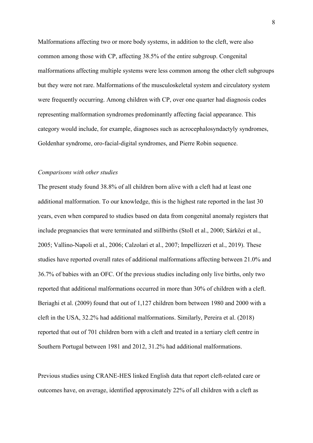Malformations affecting two or more body systems, in addition to the cleft, were also common among those with CP, affecting 38.5% of the entire subgroup. Congenital malformations affecting multiple systems were less common among the other cleft subgroups but they were not rare. Malformations of the musculoskeletal system and circulatory system were frequently occurring. Among children with CP, over one quarter had diagnosis codes representing malformation syndromes predominantly affecting facial appearance. This category would include, for example, diagnoses such as acrocephalosyndactyly syndromes, Goldenhar syndrome, oro-facial-digital syndromes, and Pierre Robin sequence.

#### *Comparisons with other studies*

The present study found 38.8% of all children born alive with a cleft had at least one additional malformation. To our knowledge, this is the highest rate reported in the last 30 years, even when compared to studies based on data from congenital anomaly registers that include pregnancies that were terminated and stillbirths (Stoll et al., 2000; Sárközi et al., 2005; Vallino-Napoli et al., 2006; Calzolari et al., 2007; Impellizzeri et al., 2019). These studies have reported overall rates of additional malformations affecting between 21.0% and 36.7% of babies with an OFC. Of the previous studies including only live births, only two reported that additional malformations occurred in more than 30% of children with a cleft. Beriaghi et al. (2009) found that out of 1,127 children born between 1980 and 2000 with a cleft in the USA, 32.2% had additional malformations. Similarly, Pereira et al. (2018) reported that out of 701 children born with a cleft and treated in a tertiary cleft centre in Southern Portugal between 1981 and 2012, 31.2% had additional malformations.

Previous studies using CRANE-HES linked English data that report cleft-related care or outcomes have, on average, identified approximately 22% of all children with a cleft as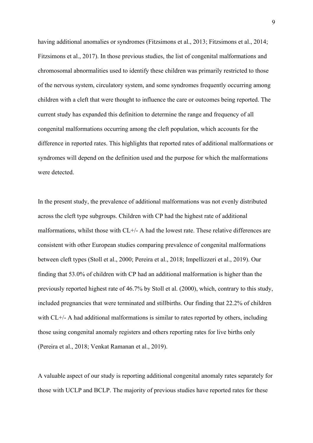having additional anomalies or syndromes (Fitzsimons et al., 2013; Fitzsimons et al., 2014; Fitzsimons et al., 2017). In those previous studies, the list of congenital malformations and chromosomal abnormalities used to identify these children was primarily restricted to those of the nervous system, circulatory system, and some syndromes frequently occurring among children with a cleft that were thought to influence the care or outcomes being reported. The current study has expanded this definition to determine the range and frequency of all congenital malformations occurring among the cleft population, which accounts for the difference in reported rates. This highlights that reported rates of additional malformations or syndromes will depend on the definition used and the purpose for which the malformations were detected.

In the present study, the prevalence of additional malformations was not evenly distributed across the cleft type subgroups. Children with CP had the highest rate of additional malformations, whilst those with CL+/- A had the lowest rate. These relative differences are consistent with other European studies comparing prevalence of congenital malformations between cleft types (Stoll et al., 2000; Pereira et al., 2018; Impellizzeri et al., 2019). Our finding that 53.0% of children with CP had an additional malformation is higher than the previously reported highest rate of 46.7% by Stoll et al. (2000), which, contrary to this study, included pregnancies that were terminated and stillbirths. Our finding that 22.2% of children with CL+/- A had additional malformations is similar to rates reported by others, including those using congenital anomaly registers and others reporting rates for live births only (Pereira et al., 2018; Venkat Ramanan et al., 2019).

A valuable aspect of our study is reporting additional congenital anomaly rates separately for those with UCLP and BCLP. The majority of previous studies have reported rates for these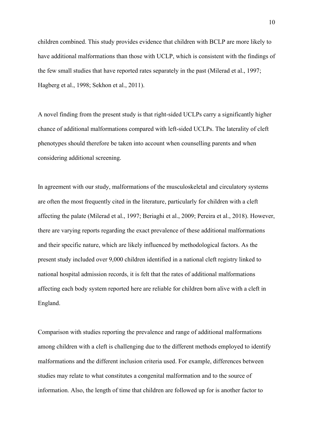children combined. This study provides evidence that children with BCLP are more likely to have additional malformations than those with UCLP, which is consistent with the findings of the few small studies that have reported rates separately in the past (Milerad et al., 1997; Hagberg et al., 1998; Sekhon et al., 2011).

A novel finding from the present study is that right-sided UCLPs carry a significantly higher chance of additional malformations compared with left-sided UCLPs. The laterality of cleft phenotypes should therefore be taken into account when counselling parents and when considering additional screening.

In agreement with our study, malformations of the musculoskeletal and circulatory systems are often the most frequently cited in the literature, particularly for children with a cleft affecting the palate (Milerad et al., 1997; Beriaghi et al., 2009; Pereira et al., 2018). However, there are varying reports regarding the exact prevalence of these additional malformations and their specific nature, which are likely influenced by methodological factors. As the present study included over 9,000 children identified in a national cleft registry linked to national hospital admission records, it is felt that the rates of additional malformations affecting each body system reported here are reliable for children born alive with a cleft in England.

Comparison with studies reporting the prevalence and range of additional malformations among children with a cleft is challenging due to the different methods employed to identify malformations and the different inclusion criteria used. For example, differences between studies may relate to what constitutes a congenital malformation and to the source of information. Also, the length of time that children are followed up for is another factor to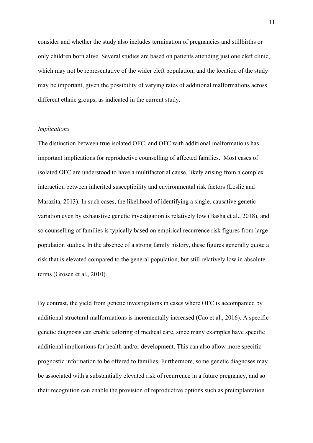consider and whether the study also includes termination of pregnancies and stillbirths or only children born alive. Several studies are based on patients attending just one cleft clinic, which may not be representative of the wider cleft population, and the location of the study may be important, given the possibility of varying rates of additional malformations across different ethnic groups, as indicated in the current study.

### *Implications*

The distinction between true isolated OFC, and OFC with additional malformations has important implications for reproductive counselling of affected families. Most cases of isolated OFC are understood to have a multifactorial cause, likely arising from a complex interaction between inherited susceptibility and environmental risk factors (Leslie and Marazita, 2013). In such cases, the likelihood of identifying a single, causative genetic variation even by exhaustive genetic investigation is relatively low (Basha et al., 2018), and so counselling of families is typically based on empirical recurrence risk figures from large population studies. In the absence of a strong family history, these figures generally quote a risk that is elevated compared to the general population, but still relatively low in absolute terms (Grosen et al., 2010).

By contrast, the yield from genetic investigations in cases where OFC is accompanied by additional structural malformations is incrementally increased (Cao et al., 2016). A specific genetic diagnosis can enable tailoring of medical care, since many examples have specific additional implications for health and/or development. This can also allow more specific prognostic information to be offered to families. Furthermore, some genetic diagnoses may be associated with a substantially elevated risk of recurrence in a future pregnancy, and so their recognition can enable the provision of reproductive options such as preimplantation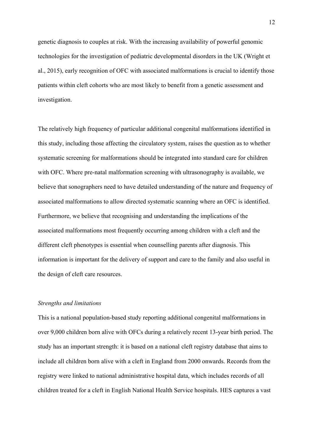genetic diagnosis to couples at risk. With the increasing availability of powerful genomic technologies for the investigation of pediatric developmental disorders in the UK (Wright et al., 2015), early recognition of OFC with associated malformations is crucial to identify those patients within cleft cohorts who are most likely to benefit from a genetic assessment and investigation.

The relatively high frequency of particular additional congenital malformations identified in this study, including those affecting the circulatory system, raises the question as to whether systematic screening for malformations should be integrated into standard care for children with OFC. Where pre-natal malformation screening with ultrasonography is available, we believe that sonographers need to have detailed understanding of the nature and frequency of associated malformations to allow directed systematic scanning where an OFC is identified. Furthermore, we believe that recognising and understanding the implications of the associated malformations most frequently occurring among children with a cleft and the different cleft phenotypes is essential when counselling parents after diagnosis. This information is important for the delivery of support and care to the family and also useful in the design of cleft care resources.

### *Strengths and limitations*

This is a national population-based study reporting additional congenital malformations in over 9,000 children born alive with OFCs during a relatively recent 13-year birth period. The study has an important strength: it is based on a national cleft registry database that aims to include all children born alive with a cleft in England from 2000 onwards. Records from the registry were linked to national administrative hospital data, which includes records of all children treated for a cleft in English National Health Service hospitals. HES captures a vast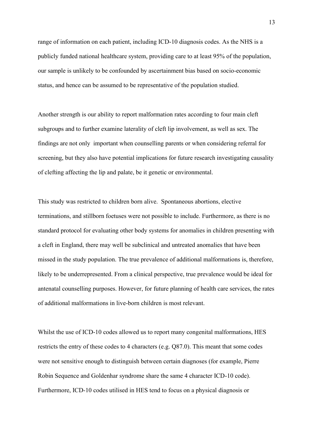range of information on each patient, including ICD-10 diagnosis codes. As the NHS is a publicly funded national healthcare system, providing care to at least 95% of the population, our sample is unlikely to be confounded by ascertainment bias based on socio-economic status, and hence can be assumed to be representative of the population studied.

Another strength is our ability to report malformation rates according to four main cleft subgroups and to further examine laterality of cleft lip involvement, as well as sex. The findings are not only important when counselling parents or when considering referral for screening, but they also have potential implications for future research investigating causality of clefting affecting the lip and palate, be it genetic or environmental.

This study was restricted to children born alive. Spontaneous abortions, elective terminations, and stillborn foetuses were not possible to include. Furthermore, as there is no standard protocol for evaluating other body systems for anomalies in children presenting with a cleft in England, there may well be subclinical and untreated anomalies that have been missed in the study population. The true prevalence of additional malformations is, therefore, likely to be underrepresented. From a clinical perspective, true prevalence would be ideal for antenatal counselling purposes. However, for future planning of health care services, the rates of additional malformations in live-born children is most relevant.

Whilst the use of ICD-10 codes allowed us to report many congenital malformations, HES restricts the entry of these codes to 4 characters (e.g. Q87.0). This meant that some codes were not sensitive enough to distinguish between certain diagnoses (for example, Pierre Robin Sequence and Goldenhar syndrome share the same 4 character ICD-10 code). Furthermore, ICD-10 codes utilised in HES tend to focus on a physical diagnosis or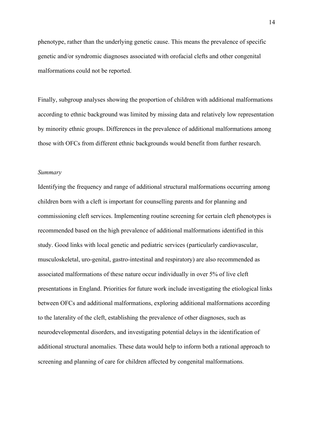phenotype, rather than the underlying genetic cause. This means the prevalence of specific genetic and/or syndromic diagnoses associated with orofacial clefts and other congenital malformations could not be reported.

Finally, subgroup analyses showing the proportion of children with additional malformations according to ethnic background was limited by missing data and relatively low representation by minority ethnic groups. Differences in the prevalence of additional malformations among those with OFCs from different ethnic backgrounds would benefit from further research.

#### *Summary*

Identifying the frequency and range of additional structural malformations occurring among children born with a cleft is important for counselling parents and for planning and commissioning cleft services. Implementing routine screening for certain cleft phenotypes is recommended based on the high prevalence of additional malformations identified in this study. Good links with local genetic and pediatric services (particularly cardiovascular, musculoskeletal, uro-genital, gastro-intestinal and respiratory) are also recommended as associated malformations of these nature occur individually in over 5% of live cleft presentations in England. Priorities for future work include investigating the etiological links between OFCs and additional malformations, exploring additional malformations according to the laterality of the cleft, establishing the prevalence of other diagnoses, such as neurodevelopmental disorders, and investigating potential delays in the identification of additional structural anomalies. These data would help to inform both a rational approach to screening and planning of care for children affected by congenital malformations.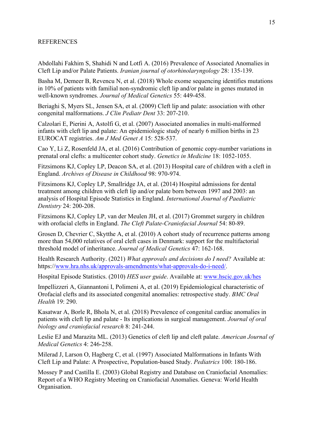### REFERENCES

Abdollahi Fakhim S, Shahidi N and Lotfi A. (2016) Prevalence of Associated Anomalies in Cleft Lip and/or Palate Patients. *Iranian journal of otorhinolaryngology* 28: 135-139.

Basha M, Demeer B, Revencu N, et al. (2018) Whole exome sequencing identifies mutations in 10% of patients with familial non-syndromic cleft lip and/or palate in genes mutated in well-known syndromes. *Journal of Medical Genetics* 55: 449-458.

Beriaghi S, Myers SL, Jensen SA, et al. (2009) Cleft lip and palate: association with other congenital malformations. *J Clin Pediatr Dent* 33: 207-210.

Calzolari E, Pierini A, Astolfi G, et al. (2007) Associated anomalies in multi-malformed infants with cleft lip and palate: An epidemiologic study of nearly 6 million births in 23 EUROCAT registries. *Am J Med Genet A* 15: 528-537.

Cao Y, Li Z, Rosenfeld JA, et al. (2016) Contribution of genomic copy-number variations in prenatal oral clefts: a multicenter cohort study. *Genetics in Medicine* 18: 1052-1055.

Fitzsimons KJ, Copley LP, Deacon SA, et al. (2013) Hospital care of children with a cleft in England. *Archives of Disease in Childhood* 98: 970-974.

Fitzsimons KJ, Copley LP, Smallridge JA, et al. (2014) Hospital admissions for dental treatment among children with cleft lip and/or palate born between 1997 and 2003: an analysis of Hospital Episode Statistics in England. *International Journal of Paediatric Dentistry* 24: 200-208.

Fitzsimons KJ, Copley LP, van der Meulen JH, et al. (2017) Grommet surgery in children with orofacial clefts in England. *The Cleft Palate-Craniofacial Journal* 54: 80-89.

Grosen D, Chevrier C, Skytthe A, et al. (2010) A cohort study of recurrence patterns among more than 54,000 relatives of oral cleft cases in Denmark: support for the multifactorial threshold model of inheritance. *Journal of Medical Genetics* 47: 162-168.

Health Research Authority. (2021) *What approvals and decisions do I need?* Available at: https:/[/www.hra.nhs.uk/approvals-amendments/what-approvals-do-i-need/.](http://www.hra.nhs.uk/approvals-amendments/what-approvals-do-i-need/)

Hospital Episode Statistics. (2010) *HES user guide*. Available at: [www.hscic.gov.uk/hes](http://www.hscic.gov.uk/hes) 

Impellizzeri A, Giannantoni I, Polimeni A, et al. (2019) Epidemiological characteristic of Orofacial clefts and its associated congenital anomalies: retrospective study. *BMC Oral Health* 19: 290.

Kasatwar A, Borle R, Bhola N, et al. (2018) Prevalence of congenital cardiac anomalies in patients with cleft lip and palate - Its implications in surgical management. *Journal of oral biology and craniofacial research* 8: 241-244.

Leslie EJ and Marazita ML. (2013) Genetics of cleft lip and cleft palate. *American Journal of Medical Genetics* 4: 246-258.

Milerad J, Larson O, Hagberg C, et al. (1997) Associated Malformations in Infants With Cleft Lip and Palate: A Prospective, Population-based Study. *Pediatrics* 100: 180-186.

Mossey P and Castilla E. (2003) Global Registry and Database on Craniofacial Anomalies: Report of a WHO Registry Meeting on Craniofacial Anomalies. Geneva: World Health Organisation.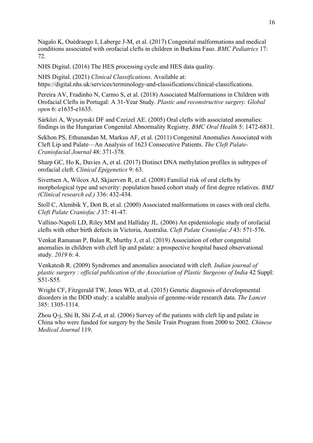Nagalo K, Ouédraogo I, Laberge J-M, et al. (2017) Congenital malformations and medical conditions associated with orofacial clefts in children in Burkina Faso. *BMC Pediatrics* 17: 72.

NHS Digital. (2016) The HES processing cycle and HES data quality.

NHS Digital. (2021) *Clinical Classifications*. Available at: https://digital.nhs.uk/services/terminology-and-classifications/clinical-classifications.

Pereira AV, Fradinho N, Carmo S, et al. (2018) Associated Malformations in Children with Orofacial Clefts in Portugal: A 31-Year Study. *Plastic and reconstructive surgery. Global open* 6: e1635-e1635.

Sárközi A, Wyszynski DF and Czeizel AE. (2005) Oral clefts with associated anomalies: findings in the Hungarian Congenital Abnormality Registry. *BMC Oral Health* 5: 1472-6831.

Sekhon PS, Ethunandan M, Markus AF, et al. (2011) Congenital Anomalies Associated with Cleft Lip and Palate—An Analysis of 1623 Consecutive Patients. *The Cleft Palate-Craniofacial Journal* 48: 371-378.

Sharp GC, Ho K, Davies A, et al. (2017) Distinct DNA methylation profiles in subtypes of orofacial cleft. *Clinical Epigenetics* 9: 63.

Sivertsen A, Wilcox AJ, Skjaerven R, et al. (2008) Familial risk of oral clefts by morphological type and severity: population based cohort study of first degree relatives. *BMJ (Clinical research ed.)* 336: 432-434.

Stoll C, Alembik Y, Dott B, et al. (2000) Associated malformations in cases with oral clefts. *Cleft Palate Craniofac J* 37: 41-47.

Vallino-Napoli LD, Riley MM and Halliday JL. (2006) An epidemiologic study of orofacial clefts with other birth defects in Victoria, Australia. *Cleft Palate Craniofac J* 43: 571-576.

Venkat Ramanan P, Balan R, Murthy J, et al. (2019) Association of other congenital anomalies in children with cleft lip and palate: a prospective hospital based observational study. *2019* 6: 4.

Venkatesh R. (2009) Syndromes and anomalies associated with cleft. *Indian journal of plastic surgery : official publication of the Association of Plastic Surgeons of India* 42 Suppl: S51-S55.

Wright CF, Fitzgerald TW, Jones WD, et al. (2015) Genetic diagnosis of developmental disorders in the DDD study: a scalable analysis of genome-wide research data. *The Lancet* 385: 1305-1314.

Zhou Q-j, Shi B, Shi Z-d, et al. (2006) Survey of the patients with cleft lip and palate in China who were funded for surgery by the Smile Train Program from 2000 to 2002. *Chinese Medical Journal* 119.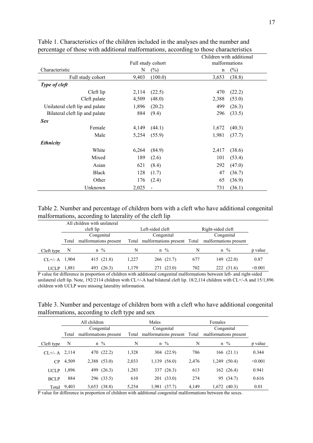|                                 |       | Children with additional |             |               |
|---------------------------------|-------|--------------------------|-------------|---------------|
|                                 |       | Full study cohort        |             | malformations |
| Characteristic                  | N     | $(\%)$                   | $\mathbf n$ | $(\%)$        |
| Full study cohort               | 9,403 | (100.0)                  | 3,653       | (38.8)        |
| Type of cleft                   |       |                          |             |               |
| Cleft lip                       | 2,114 | (22.5)                   | 470         | (22.2)        |
| Cleft palate                    | 4,509 | (48.0)                   | 2,388       | (53.0)        |
| Unilateral cleft lip and palate | 1,896 | (20.2)                   | 499         | (26.3)        |
| Bilateral cleft lip and palate  | 884   | (9.4)                    | 296         | (33.5)        |
| <b>Sex</b>                      |       |                          |             |               |
| Female                          | 4,149 | (44.1)                   | 1,672       | (40.3)        |
| Male                            | 5,254 | (55.9)                   | 1,981       | (37.7)        |
| Ethnicity                       |       |                          |             |               |
| White                           | 6,264 | (84.9)                   | 2,417       | (38.6)        |
| Mixed                           | 189   | (2.6)                    | 101         | (53.4)        |
| Asian                           | 621   | (8.4)                    | 292         | (47.0)        |
| <b>Black</b>                    | 128   | (1.7)                    | 47          | (36.7)        |
| Other                           | 176   | (2.4)                    | 65          | (36.9)        |
| Unknown                         | 2,025 | $\overline{a}$           | 731         | (36.1)        |

Table 1. Characteristics of the children included in the analyses and the number and percentage of those with additional malformations, according to those characteristics

Table 2. Number and percentage of children born with a cleft who have additional congenital malformations, according to laterality of the cleft lip

|               |       | All children with unilateral |            |                                   |                   |                       |         |
|---------------|-------|------------------------------|------------|-----------------------------------|-------------------|-----------------------|---------|
|               |       | cleft lip                    |            | Left-sided cleft                  | Right-sided cleft |                       |         |
|               |       | Congenital                   | Congenital |                                   |                   | Congenital            |         |
|               | Total | malformations present        |            | Total malformations present Total |                   | malformations present |         |
| Cleft type    | N     | $n \frac{9}{6}$              | N          | $n \frac{9}{6}$                   | N                 | $n \frac{9}{6}$       | p value |
| $CL+/A$ 1,904 |       | 415 (21.8)                   | 1.227      | 266 (21.7)                        | 677               | 149 (22.0)            | 0.87    |
| <b>UCLP</b>   | 1,881 | (26.3)<br>493                | 1,179      | (23.0)<br>271                     | 702               | 222 -<br>(31.6)       | < 0.001 |

P value for difference in proportion of children with additional congenital malformations between left- and right-sided unilateral cleft lip. Note, 192/2114 children with CL+/-A had bilateral cleft lip. 18/2,114 children with CL+/-A and 15/1,896 children with UCLP were missing laterality information.

Table 3. Number and percentage of children born with a cleft who have additional congenital malformations, according to cleft type and sex

|               | All children |              |                       |       | Males                             |                  |            | Females     |                       |         |
|---------------|--------------|--------------|-----------------------|-------|-----------------------------------|------------------|------------|-------------|-----------------------|---------|
|               |              |              | Congenital            |       |                                   | Congenital       | Congenital |             |                       |         |
|               | Total        |              | malformations present |       | Total malformations present Total |                  |            |             | malformations present |         |
| Cleft type    | N            | $\mathsf{n}$ | $\%$                  | N     |                                   | $n \frac{9}{6}$  | N          | $\mathbf n$ | $\frac{0}{0}$         | p value |
| $CL+/A$ 2,114 |              |              | 470 (22.2)            | 1,328 |                                   | 304 (22.9)       | 786        |             | 166 (21.1)            | 0.344   |
| CP            | 4,509        |              | 2,388 (53.0)          | 2,033 |                                   | $1,139$ $(56.0)$ | 2,476      |             | 1,249 (50.4)          | < 0.001 |
| <b>UCLP</b>   | 1,896        | 499          | (26.3)                | 1,283 |                                   | 337 (26.3)       | 613        |             | 162 (26.4)            | 0.941   |
| <b>BCLP</b>   | 884          |              | 296 (33.5)            | 610   |                                   | 201 (33.0)       | 274        |             | 95 (34.7)             | 0.616   |
| Total         | 9,403        |              | $3,653$ $(38.8)$      | 5,254 | 1,981                             | (37.7)           | 4.149      |             | $1,672$ $(40.3)$      | 0.01    |

P value for difference in proportion of children with additional congenital malformations between the sexes.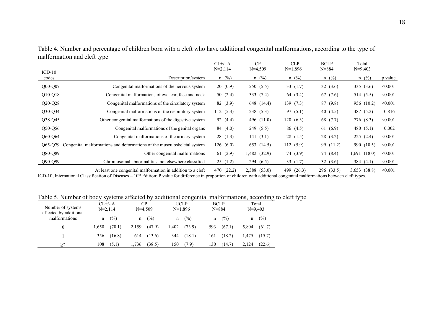|                             | Table 4. Number and percentage of children born with a cleft who have additional congenital malformations, according to the type of |  |  |  |
|-----------------------------|-------------------------------------------------------------------------------------------------------------------------------------|--|--|--|
| malformation and cleft type |                                                                                                                                     |  |  |  |

|                   |                                                                         | $CL+/A$<br>$N=2,114$ | CP<br>$N=4,509$ | <b>UCLP</b><br>N=1,896 | <b>BCLP</b><br>$N = 884$ | Total<br>$N=9,403$ |         |
|-------------------|-------------------------------------------------------------------------|----------------------|-----------------|------------------------|--------------------------|--------------------|---------|
| $ICD-10$<br>codes | Description/system                                                      | $n \ (\%)$           | $n \ (\%)$      | $n \ (\%)$             | $n \ (\%)$               | $n \ (\%)$         | p value |
| $Q00-Q07$         | Congenital malformations of the nervous system                          | 20(0.9)              | 250(5.5)        | 33 $(1.7)$             | 32(3.6)                  | 335 $(3.6)$        | < 0.001 |
| $Q10-Q18$         | Congenital malformations of eye, ear, face and neck                     | 50 $(2.4)$           | 333 (7.4)       | 64 (3.4)               | 67 (7.6)                 | 514 (5.5)          | < 0.001 |
| $Q20-Q28$         | Congenital malformations of the circulatory system                      | 82 (3.9)             | 648 (14.4)      | 139(7.3)               | 87(9.8)                  | 956 (10.2)         | < 0.001 |
| $Q30-Q34$         | Congenital malformations of the respiratory system                      | 112(5.3)             | 238(5.3)        | 97 (5.1)               | 40 $(4.5)$               | 487 (5.2)          | 0.816   |
| Q38-Q45           | Other congenital malformations of the digestive system                  | 92 (4.4)             | 496 (11.0)      | 120(6.3)               | 68 (7.7)                 | 776 (8.3)          | < 0.001 |
| Q50-Q56           | Congenital malformations of the genital organs                          | 84 (4.0)             | 249 (5.5)       | 86 (4.5)               | 61(6.9)                  | 480 $(5.1)$        | 0.002   |
| Q60-Q64           | Congenital malformations of the urinary system                          | 28(1.3)              | 141(3.1)        | 28(1.5)                | 28(3.2)                  | 225(2.4)           | < 0.001 |
| Q65-Q79           | Congenital malformations and deformations of the musculoskeletal system | 126(6.0)             | 653 (14.5)      | 112(5.9)               | 99 (11.2)                | 990 (10.5)         | < 0.001 |
| Q80-Q89           | Other congenital malformations                                          | 61(2.9)              | 1,482 (32.9)    | 74 (3.9)               | 74 (8.4)                 | $1,691$ $(18.0)$   | < 0.001 |
| $Q90-Q99$         | Chromosomal abnormalities, not elsewhere classified                     | 25(1.2)              | 294(6.5)        | 33 $(1.7)$             | 32(3.6)                  | 384 $(4.1)$        | < 0.001 |
|                   | At least one congenital malformation in addition to a cleft             | (22.2)<br>470        | 2,388 (53.0)    | 499<br>(26.3)          | 296 (33.5)               | $3,653$ $(38.8)$   | < 0.001 |

ICD-10, International Classification of Diseases – 10<sup>th</sup> Edition; P value for difference in proportion of children with additional congenital malformations between cleft types.

Table 5. Number of body systems affected by additional congenital malformations, according to cleft type

| Number of systems                       | $CL+/A$<br>$N=2,114$ |               |       | CР<br>$N=4,509$ |       | UCLP<br>$N=1,896$ |     | <b>BCLP</b><br>$N = 884$ |       | Total<br>$N=9,403$ |
|-----------------------------------------|----------------------|---------------|-------|-----------------|-------|-------------------|-----|--------------------------|-------|--------------------|
| affected by additional<br>malformations | n                    | $\frac{1}{2}$ | n     | $\frac{1}{2}$   | n     | $\frac{1}{2}$     | n   | $\frac{1}{2}$            |       | $\frac{1}{2}$      |
| 0                                       | 1.650                | (78.1)        | 2,159 | (47.9)          | 1,402 | (73.9)            | 593 | (67.1)                   | 5.804 | (61.7)             |
|                                         | 356                  | (16.8)        | 614   | (13.6)          | 344   | (18.1)            | 161 | (18.2)                   | 1.475 | (15.7)             |
| >2                                      | 108                  | (5.1)         | 1,736 | (38.5)          | 150   | (7.9)             | 130 | (14.7)                   | 2,124 | (22.6)             |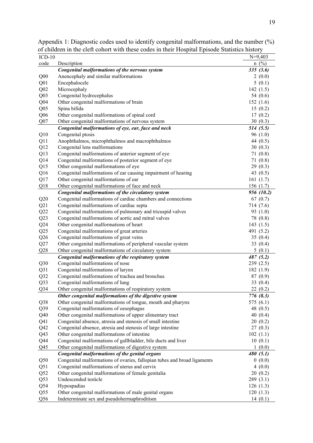| $ICD-10$                           |                                                                          | $N=9,403$           |
|------------------------------------|--------------------------------------------------------------------------|---------------------|
| code                               | Description                                                              | $n \ (\%)$          |
|                                    | Congenital malformations of the nervous system                           | 335(3.6)            |
| Q <sub>00</sub>                    | Anencephaly and similar malformations                                    | 2(0.0)              |
| Q <sub>01</sub>                    | Encephalocele<br>Microcephaly                                            | 5(0.1)              |
| Q <sub>02</sub>                    |                                                                          | 142(1.5)            |
| Q <sub>03</sub><br>Q <sub>04</sub> | Congenital hydrocephalus<br>Other congenital malformations of brain      | 54 (0.6)            |
|                                    | Spina bifida                                                             | 152(1.6)<br>15(0.2) |
| Q <sub>05</sub>                    | Other congenital malformations of spinal cord                            | 17(0.2)             |
| Q <sub>06</sub><br>Q07             | Other congenital malformations of nervous system                         | 30(0.3)             |
|                                    | Congenital malformations of eye, ear, face and neck                      | 514(5.5)            |
| Q10                                | Congenital ptosis                                                        | 96(1.0)             |
| Q11                                | Anophthalmos, microphthalmos and macrophthalmos                          | 44 $(0.5)$          |
| Q12                                | Congenital lens malformations                                            | 30(0.3)             |
| Q13                                | Congenital malformations of anterior segment of eye                      | 71(0.8)             |
| Q14                                | Congenital malformations of posterior segment of eye                     | 71(0.8)             |
| Q15                                | Other congenital malformations of eye                                    | 29(0.3)             |
| Q <sub>16</sub>                    | Congenital malformations of ear causing impairment of hearing            | 43 $(0.5)$          |
| Q17                                | Other congenital malformations of ear                                    | 161(1.7)            |
| Q18                                | Other congenital malformations of face and neck                          | 156(1.7)            |
|                                    | Congenital malformations of the circulatory system                       | 956 (10.2)          |
| Q20                                | Congenital malformations of cardiac chambers and connections             | 67(0.7)             |
| Q21                                | Congenital malformations of cardiac septa                                | 714 (7.6)           |
| Q22                                | Congenital malformations of pulmonary and tricuspid valves               | 93 (1.0)            |
| Q23                                | Congenital malformations of aortic and mitral valves                     | 78 (0.8)            |
| Q24                                | Other congenital malformations of heart                                  | 143(1.5)            |
| Q25                                | Congenital malformations of great arteries                               | 491 (5.2)           |
| Q26                                | Congenital malformations of great veins                                  | 35(0.4)             |
| Q27                                | Other congenital malformations of peripheral vascular system             | 33 $(0.4)$          |
| Q28                                | Other congenital malformations of circulatory system                     | 5(0.1)              |
|                                    | Congenital malformations of the respiratory system                       | 487 (5.2)           |
| Q30                                | Congenital malformations of nose                                         | 239(2.5)            |
| Q31                                | Congenital malformations of larynx                                       | 182 (1.9)           |
| Q <sub>32</sub>                    | Congenital malformations of trachea and bronchus                         | 87(0.9)             |
| Q33                                | Congenital malformations of lung                                         | 33 $(0.4)$          |
| Q34                                | Other congenital malformations of respiratory system                     | 22 (0.2)            |
|                                    | Other congenital malformations of the digestive system                   | 776 (8.3)           |
| Q38                                | Other congenital malformations of tongue, mouth and pharynx              | 575 (6.1)           |
| Q39                                | Congenital malformations of oesophagus                                   | 48 $(0.5)$          |
| Q40                                | Other congenital malformations of upper alimentary tract                 | 40(0.4)             |
| Q <sub>41</sub>                    | Congenital absence, atresia and stenosis of small intestine              | 20(0.2)             |
| Q42                                | Congenital absence, atresia and stenosis of large intestine              | 27(0.3)             |
| Q43                                | Other congenital malformations of intestine                              | 102(1.1)            |
| Q44                                | Congenital malformations of gallbladder, bile ducts and liver            | 10(0.1)             |
| Q <sub>45</sub>                    | Other congenital malformations of digestive system                       | 1(0.0)              |
|                                    | Congenital malformations of the genital organs                           | 480(5.1)            |
| Q50                                | Congenital malformations of ovaries, fallopian tubes and broad ligaments | 0(0.0)              |
| Q51                                | Congenital malformations of uterus and cervix                            | 4(0.0)              |
| Q52                                | Other congenital malformations of female genitalia                       | 20(0.2)             |
| Q <sub>53</sub>                    | Undescended testicle                                                     | 289 (3.1)           |
| Q54                                | Hypospadias                                                              | 126(1.3)            |
| Q <sub>55</sub>                    | Other congenital malformations of male genital organs                    | 120(1.3)            |
| Q <sub>56</sub>                    | Indeterminate sex and pseudohermaphroditism                              | 14(0.1)             |

Appendix 1: Diagnostic codes used to identify congenital malformations, and the number (%) of children in the cleft cohort with these codes in their Hospital Episode Statistics history